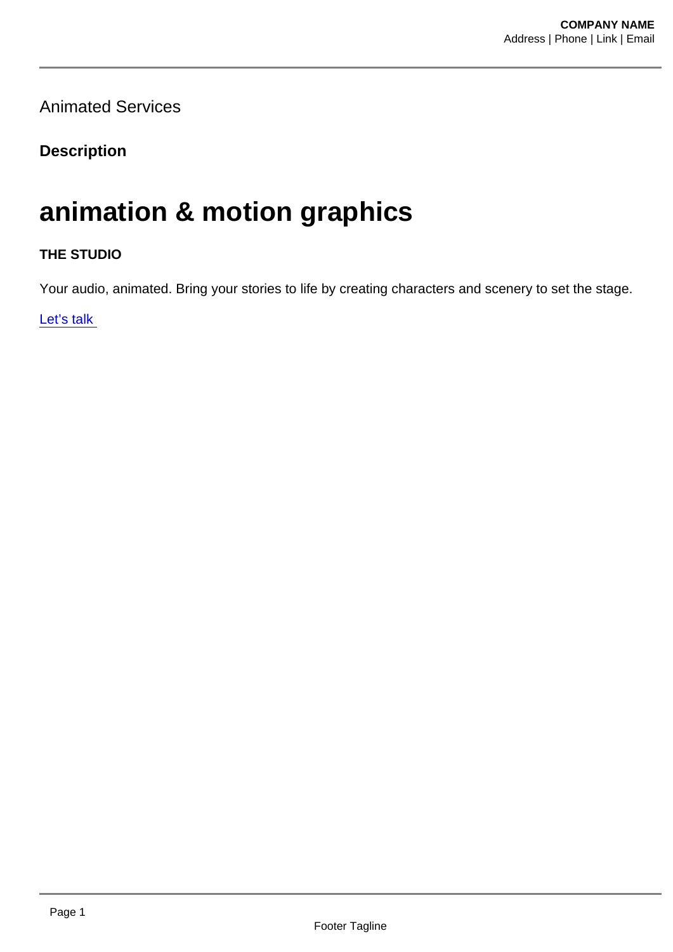Animated Services

**Description** 

## animation & motion graphics

THE STUDIO

Your audio, animated. Bring your stories to life by creating characters and scenery to set the stage.

Let's talk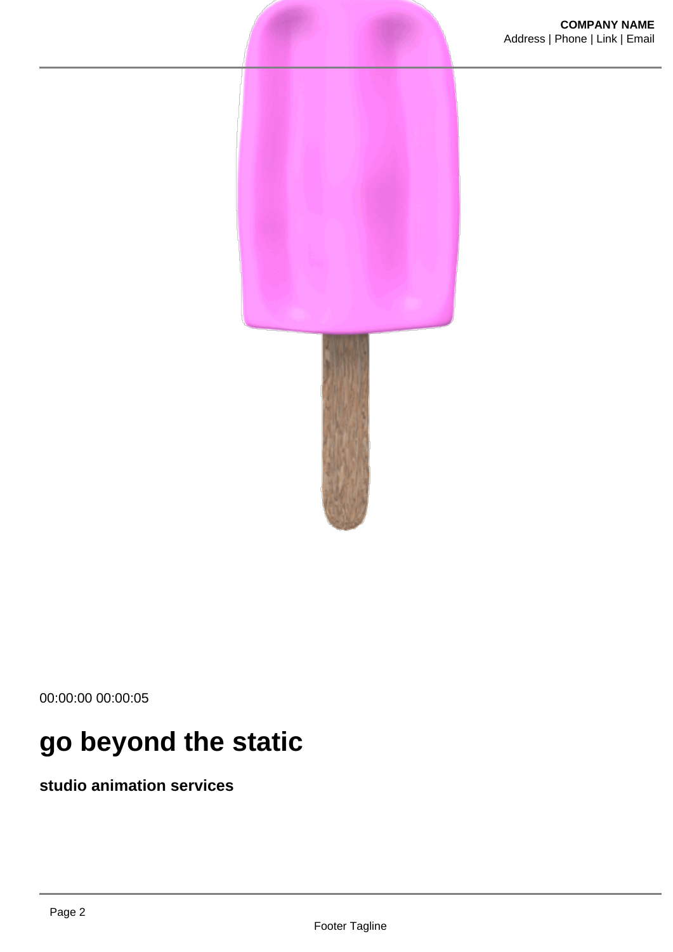

00:00:00 00:00:05

# **go beyond the static**

**studio animation services**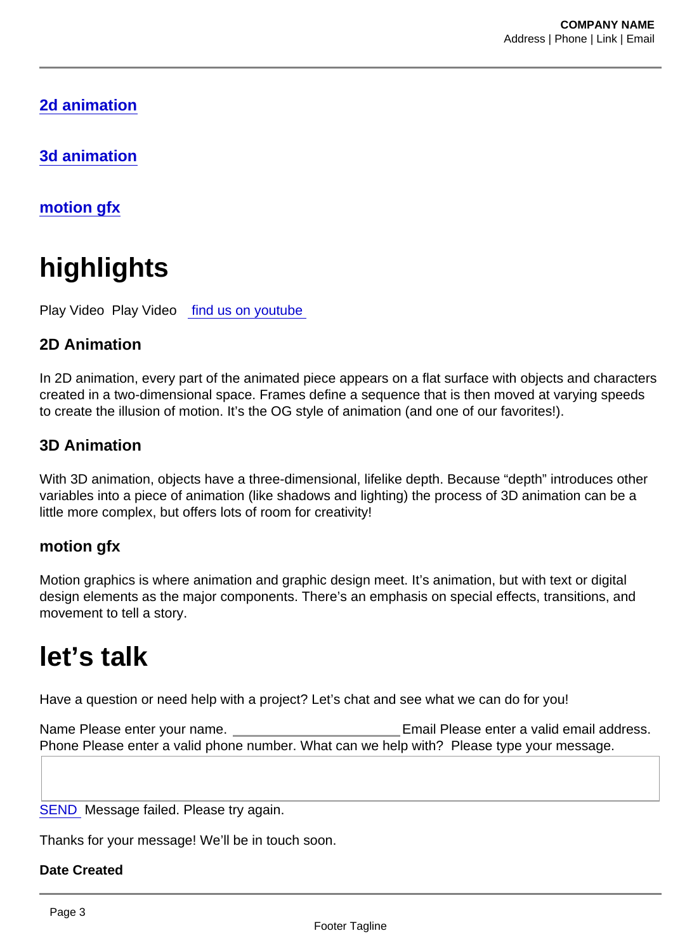2d animation

3d animation

motion gfx

# highlights

Play Video Play Video [find us on youtube](https://www.youtube.com/channel/UC0L5d2vJaZRlvTMOZfryJdQ) 

### 2D Animation

In 2D animation, every part of the animated piece appears on a flat surface with objects and characters created in a two-dimensional space. Frames define a sequence that is then moved at varying speeds to create the illusion of motion. It's the OG style of animation (and one of our favorites!).

#### 3D Animation

With 3D animation, objects have a three-dimensional, lifelike depth. Because "depth" introduces other variables into a piece of animation (like shadows and lighting) the process of 3D animation can be a little more complex, but offers lots of room for creativity!

#### motion gfx

Motion graphics is where animation and graphic design meet. It's animation, but with text or digital design elements as the major components. There's an emphasis on special effects, transitions, and movement to tell a story.

## let's talk

Have a question or need help with a project? Let's chat and see what we can do for you!

Name Please enter your name. Email Please enter a valid email address. Phone Please enter a valid phone number. What can we help with? Please type your message.

SEND Message failed. Please try again.

Thanks for your message! We'll be in touch soon.

Date Created